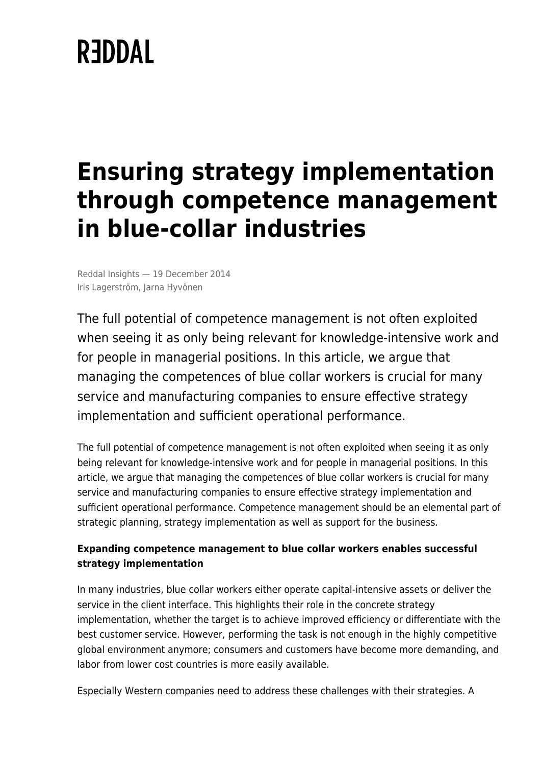# **REDDAL**

## **Ensuring strategy implementation through competence management in blue-collar industries**

Reddal Insights — 19 December 2014 Iris Lagerström, Jarna Hyvönen

The full potential of competence management is not often exploited when seeing it as only being relevant for knowledge-intensive work and for people in managerial positions. In this article, we argue that managing the competences of blue collar workers is crucial for many service and manufacturing companies to ensure effective strategy implementation and sufficient operational performance.

The full potential of competence management is not often exploited when seeing it as only being relevant for knowledge-intensive work and for people in managerial positions. In this article, we argue that managing the competences of blue collar workers is crucial for many service and manufacturing companies to ensure effective strategy implementation and sufficient operational performance. Competence management should be an elemental part of strategic planning, strategy implementation as well as support for the business.

### **Expanding competence management to blue collar workers enables successful strategy implementation**

In many industries, blue collar workers either operate capital-intensive assets or deliver the service in the client interface. This highlights their role in the concrete strategy implementation, whether the target is to achieve improved efficiency or differentiate with the best customer service. However, performing the task is not enough in the highly competitive global environment anymore; consumers and customers have become more demanding, and labor from lower cost countries is more easily available.

Especially Western companies need to address these challenges with their strategies. A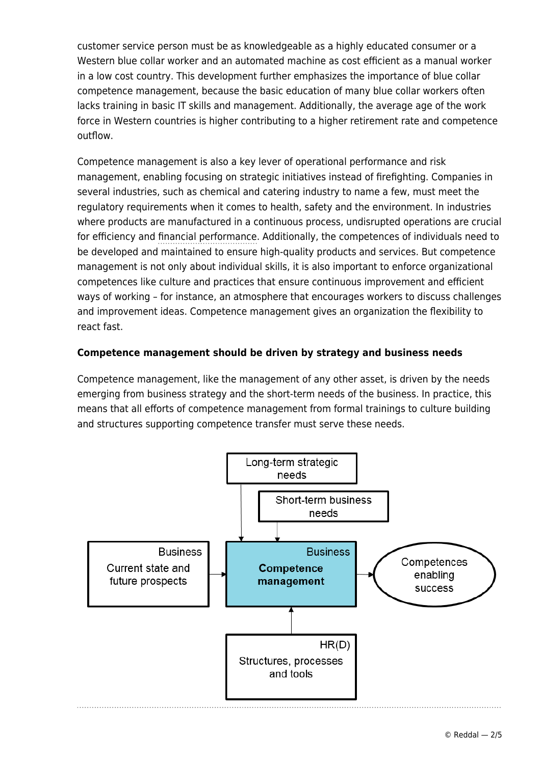customer service person must be as knowledgeable as a highly educated consumer or a Western blue collar worker and an automated machine as cost efficient as a manual worker in a low cost country. This development further emphasizes the importance of blue collar competence management, because the basic education of many blue collar workers often lacks training in basic IT skills and management. Additionally, the average age of the work force in Western countries is higher contributing to a higher retirement rate and competence outflow.

Competence management is also a key lever of operational performance and risk management, enabling focusing on strategic initiatives instead of firefighting. Companies in several industries, such as chemical and catering industry to name a few, must meet the regulatory requirements when it comes to health, safety and the environment. In industries where products are manufactured in a continuous process, undisrupted operations are crucial for efficiency and [financial performance.](https://www.reddal.com/expertise/financial-performance/) Additionally, the competences of individuals need to be developed and maintained to ensure high-quality products and services. But competence management is not only about individual skills, it is also important to enforce organizational competences like culture and practices that ensure continuous improvement and efficient ways of working – for instance, an atmosphere that encourages workers to discuss challenges and improvement ideas. Competence management gives an organization the flexibility to react fast.

#### **Competence management should be driven by strategy and business needs**

Competence management, like the management of any other asset, is driven by the needs emerging from business strategy and the short-term needs of the business. In practice, this means that all efforts of competence management from formal trainings to culture building and structures supporting competence transfer must serve these needs.

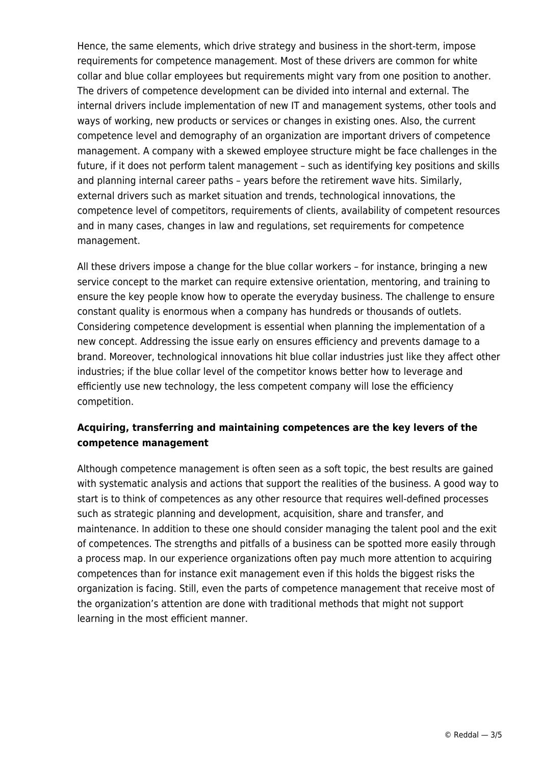Hence, the same elements, which drive strategy and business in the short-term, impose requirements for competence management. Most of these drivers are common for white collar and blue collar employees but requirements might vary from one position to another. The drivers of competence development can be divided into internal and external. The internal drivers include implementation of new IT and management systems, other tools and ways of working, new products or services or changes in existing ones. Also, the current competence level and demography of an organization are important drivers of competence management. A company with a skewed employee structure might be face challenges in the future, if it does not perform talent management – such as identifying key positions and skills and planning internal career paths – years before the retirement wave hits. Similarly, external drivers such as market situation and trends, technological innovations, the competence level of competitors, requirements of clients, availability of competent resources and in many cases, changes in law and regulations, set requirements for competence management.

All these drivers impose a change for the blue collar workers – for instance, bringing a new service concept to the market can require extensive orientation, mentoring, and training to ensure the key people know how to operate the everyday business. The challenge to ensure constant quality is enormous when a company has hundreds or thousands of outlets. Considering competence development is essential when planning the implementation of a new concept. Addressing the issue early on ensures efficiency and prevents damage to a brand. Moreover, technological innovations hit blue collar industries just like they affect other industries; if the blue collar level of the competitor knows better how to leverage and efficiently use new technology, the less competent company will lose the efficiency competition.

#### **Acquiring, transferring and maintaining competences are the key levers of the competence management**

Although competence management is often seen as a soft topic, the best results are gained with systematic analysis and actions that support the realities of the business. A good way to start is to think of competences as any other resource that requires well-defined processes such as strategic planning and development, acquisition, share and transfer, and maintenance. In addition to these one should consider managing the talent pool and the exit of competences. The strengths and pitfalls of a business can be spotted more easily through a process map. In our experience organizations often pay much more attention to acquiring competences than for instance exit management even if this holds the biggest risks the organization is facing. Still, even the parts of competence management that receive most of the organization's attention are done with traditional methods that might not support learning in the most efficient manner.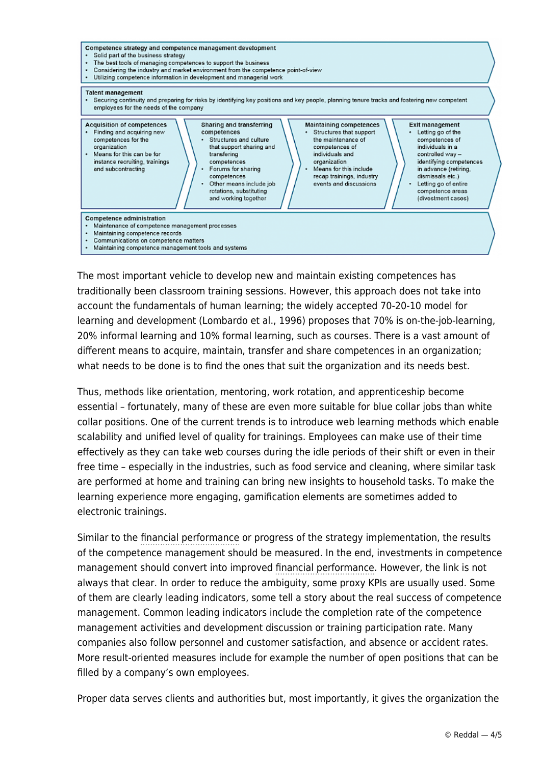

The most important vehicle to develop new and maintain existing competences has traditionally been classroom training sessions. However, this approach does not take into account the fundamentals of human learning; the widely accepted 70-20-10 model for learning and development (Lombardo et al., 1996) proposes that 70% is on-the-job-learning, 20% informal learning and 10% formal learning, such as courses. There is a vast amount of different means to acquire, maintain, transfer and share competences in an organization; what needs to be done is to find the ones that suit the organization and its needs best.

Thus, methods like orientation, mentoring, work rotation, and apprenticeship become essential – fortunately, many of these are even more suitable for blue collar jobs than white collar positions. One of the current trends is to introduce web learning methods which enable scalability and unified level of quality for trainings. Employees can make use of their time effectively as they can take web courses during the idle periods of their shift or even in their free time – especially in the industries, such as food service and cleaning, where similar task are performed at home and training can bring new insights to household tasks. To make the learning experience more engaging, gamification elements are sometimes added to electronic trainings.

Similar to the [financial performance](https://www.reddal.com/expertise/financial-performance/) or progress of the strategy implementation, the results of the competence management should be measured. In the end, investments in competence management should convert into improved [financial performance](https://www.reddal.com/expertise/financial-performance/). However, the link is not always that clear. In order to reduce the ambiguity, some proxy KPIs are usually used. Some of them are clearly leading indicators, some tell a story about the real success of competence management. Common leading indicators include the completion rate of the competence management activities and development discussion or training participation rate. Many companies also follow personnel and customer satisfaction, and absence or accident rates. More result-oriented measures include for example the number of open positions that can be filled by a company's own employees.

Proper data serves clients and authorities but, most importantly, it gives the organization the